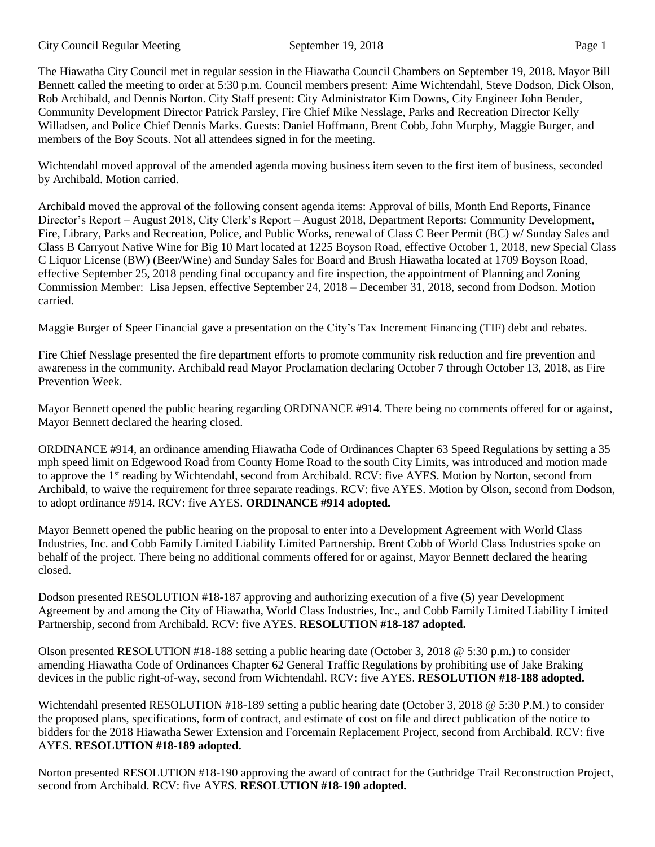## City Council Regular Meeting September 19, 2018 Page 1

The Hiawatha City Council met in regular session in the Hiawatha Council Chambers on September 19, 2018. Mayor Bill Bennett called the meeting to order at 5:30 p.m. Council members present: Aime Wichtendahl, Steve Dodson, Dick Olson, Rob Archibald, and Dennis Norton. City Staff present: City Administrator Kim Downs, City Engineer John Bender, Community Development Director Patrick Parsley, Fire Chief Mike Nesslage, Parks and Recreation Director Kelly Willadsen, and Police Chief Dennis Marks. Guests: Daniel Hoffmann, Brent Cobb, John Murphy, Maggie Burger, and members of the Boy Scouts. Not all attendees signed in for the meeting.

Wichtendahl moved approval of the amended agenda moving business item seven to the first item of business, seconded by Archibald. Motion carried.

Archibald moved the approval of the following consent agenda items: Approval of bills, Month End Reports, Finance Director's Report – August 2018, City Clerk's Report – August 2018, Department Reports: Community Development, Fire, Library, Parks and Recreation, Police, and Public Works, renewal of Class C Beer Permit (BC) w/ Sunday Sales and Class B Carryout Native Wine for Big 10 Mart located at 1225 Boyson Road, effective October 1, 2018, new Special Class C Liquor License (BW) (Beer/Wine) and Sunday Sales for Board and Brush Hiawatha located at 1709 Boyson Road, effective September 25, 2018 pending final occupancy and fire inspection, the appointment of Planning and Zoning Commission Member: Lisa Jepsen, effective September 24, 2018 – December 31, 2018, second from Dodson. Motion carried.

Maggie Burger of Speer Financial gave a presentation on the City's Tax Increment Financing (TIF) debt and rebates.

Fire Chief Nesslage presented the fire department efforts to promote community risk reduction and fire prevention and awareness in the community. Archibald read Mayor Proclamation declaring October 7 through October 13, 2018, as Fire Prevention Week.

Mayor Bennett opened the public hearing regarding ORDINANCE #914. There being no comments offered for or against, Mayor Bennett declared the hearing closed.

ORDINANCE #914, an ordinance amending Hiawatha Code of Ordinances Chapter 63 Speed Regulations by setting a 35 mph speed limit on Edgewood Road from County Home Road to the south City Limits, was introduced and motion made to approve the 1<sup>st</sup> reading by Wichtendahl, second from Archibald. RCV: five AYES. Motion by Norton, second from Archibald, to waive the requirement for three separate readings. RCV: five AYES. Motion by Olson, second from Dodson, to adopt ordinance #914. RCV: five AYES. **ORDINANCE #914 adopted.**

Mayor Bennett opened the public hearing on the proposal to enter into a Development Agreement with World Class Industries, Inc. and Cobb Family Limited Liability Limited Partnership. Brent Cobb of World Class Industries spoke on behalf of the project. There being no additional comments offered for or against, Mayor Bennett declared the hearing closed.

Dodson presented RESOLUTION #18-187 approving and authorizing execution of a five (5) year Development Agreement by and among the City of Hiawatha, World Class Industries, Inc., and Cobb Family Limited Liability Limited Partnership, second from Archibald. RCV: five AYES. **RESOLUTION #18-187 adopted.** 

Olson presented RESOLUTION #18-188 setting a public hearing date (October 3, 2018 @ 5:30 p.m.) to consider amending Hiawatha Code of Ordinances Chapter 62 General Traffic Regulations by prohibiting use of Jake Braking devices in the public right-of-way, second from Wichtendahl. RCV: five AYES. **RESOLUTION #18-188 adopted.**

Wichtendahl presented RESOLUTION #18-189 setting a public hearing date (October 3, 2018 @ 5:30 P.M.) to consider the proposed plans, specifications, form of contract, and estimate of cost on file and direct publication of the notice to bidders for the 2018 Hiawatha Sewer Extension and Forcemain Replacement Project, second from Archibald. RCV: five AYES. **RESOLUTION #18-189 adopted.**

Norton presented RESOLUTION #18-190 approving the award of contract for the Guthridge Trail Reconstruction Project, second from Archibald. RCV: five AYES. **RESOLUTION #18-190 adopted.**